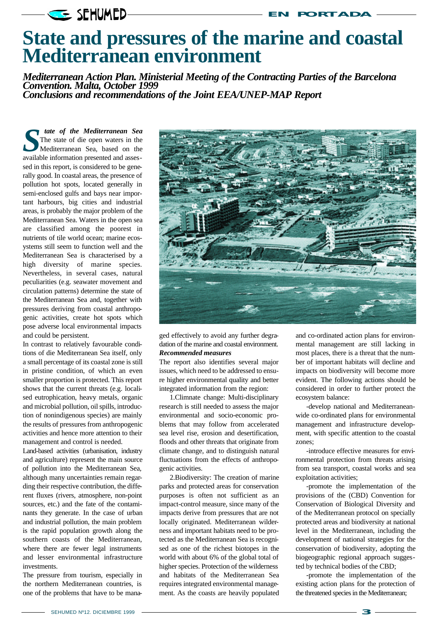## **SEHUMED-**

*Mediterranean Action Plan. Ministerial Meeting of the Contracting Parties of the Barcelona Convention. Malta, October 1999 Conclusions and recommendations of the Joint EEA/UNEP-MAP Report*

**S S S I** The state of the Mediterranean Sea The state of die open waters in the Mediterranean Sea, based on the available information presented and asses*tate of the Mediterranean Sea* The state of die open waters in the Mediterranean Sea, based on the sed in this report, is considered to be generally good. In coastal areas, the presence of pollution hot spots, located generally in semi-enclosed gulfs and bays near important harbours, big cities and industrial areas, is probably the major problem of the Mediterranean Sea. Waters in the open sea are classified among the poorest in nutrients of tile world ocean; marine ecosystems still seem to function well and the Mediterranean Sea is characterised by a high diversity of marine species. Nevertheless, in several cases, natural peculiarities (e.g. seawater movement and circulation patterns) determine the state of the Mediterranean Sea and, together with pressures deriving from coastal anthropogenic activities, create hot spots which pose adverse local environmental impacts and could be persistent.

In contrast to relatively favourable conditions of die Mediterranean Sea itself, only a small percentage of its coastal zone is still in pristine condition, of which an even smaller proportion is protected. This report shows that the current threats (e.g. localised eutrophication, heavy metals, organic and microbial pollution, oil spills, introduction of nonindigenous species) are mainly the results of pressures from anthropogenic activities and hence more attention to their management and control is needed.

Land-based activities (urbanisation, industry and agriculture) represent the main source of pollution into the Mediterranean Sea, although many uncertainties remain regarding their respective contribution, the different fluxes (rivers, atmosphere, non-point sources, etc.) and the fate of the contaminants they generate. In the case of urban and industrial pollution, the main problem is the rapid population growth along the southern coasts of the Mediterranean, where there are fewer legal instruments and lesser environmental infrastructure investments.

The pressure from tourism, especially in the northern Mediterranean countries, is one of the problems that have to be mana-



**EN PORTADA**

ged effectively to avoid any further degradation of the marine and coastal environment. *Recommended measures*

The report also identifies several major issues, which need to be addressed to ensure higher environmental quality and better integrated information from the region:

1.Climnate change: Multi-disciplinary research is still needed to assess the major environmental and socio-economic problems that may follow from accelerated sea level rise, erosion and desertification, floods and other threats that originate from climate change, and to distinguish natural fluctuations from the effects of anthropogenic activities.

2.Biodiversity: The creation of marine parks and protected areas for conservation purposes is often not sufficient as an impact-control measure, since many of the impacts derive from pressures that are not locally originated. Mediterranean wilderness and important habitats need to be protected as the Mediterranean Sea is recognised as one of the richest biotopes in the world with about 6% of the global total of higher species. Protection of the wilderness and habitats of the Mediterranean Sea requires integrated environmental management. As the coasts are heavily populated

and co-ordinated action plans for environmental management are still lacking in most places, there is a threat that the number of important habitats will decline and impacts on biodiversity will become more evident. The following actions should be considered in order to further protect the ecosystem balance:

-develop national and Mediterraneanwide co-ordinated plans for environmental management and infrastructure development, with specific attention to the coastal zones;

-introduce effective measures for environmental protection from threats arising from sea transport, coastal works and sea exploitation activities;

-promote the implementation of the provisions of the (CBD) Convention for Conservation of Biological Diversity and of the Mediterranean protocol on specially protected areas and biodiversity at national level in the Mediterranean, including the development of national strategies for the conservation of biodiversity, adopting the biogeographic regional approach suggested by technical bodies of the CBD;

-promote the implementation of the existing action plans for the protection of the threatened species in the Mediterranean;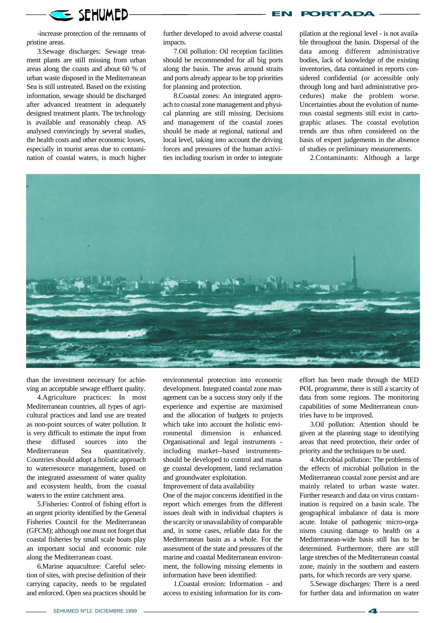

-increase protection of the remnants of pristine areas.

3.Sewage discharges: Sewage treatment plants are still missing from urban areas along the coasts and about 60 % of urban waste disposed in the Mediterranean Sea is still untreated. Based on the existing information, sewage should be discharged after advanced treatment in adequately designed treatment plants. The technology is available and reasonably cheap. AS analysed convincingly by several studies, the health costs and other economic losses, especially in tourist areas due to contamination of coastal waters, is much higher further developed to avoid adverse coastal impacts.

7.Oil pollution: Oil reception facilities should be recommended for all big ports along the basin. The areas around straits and ports already appear to be top priorities for planning and protection.

8.Coastal zones: An integrated approach to coastal zone management and physical planning are still missing. Decisions and management of the coastal zones should be made at regional, national and local level, taking into account the driving forces and pressures of the human activities including tourism in order to integrate

pilation at the regional level - is not available throughout the basin. Dispersal of the data among different administrative bodies, lack of knowledge of the existing inventories, data contained in reports considered confidential (or accessible only through long and hard administrative procedures) make the problem worse. Uncertainties about the evolution of numerous coastal segments still exist in cartographic atlases. The coastal evolution trends are thus often considered on the basis of expert judgements in the absence of studies or preliminary measurements.

**EN PORTADA**

2.Contaminants: Although a large



than the investment necessary for achieving an acceptable sewage effluent quality.

4.Agriculture practices: In most Mediterranean countries, all types of agricultural practices and land use are treated as non-point sources of water pollution. It is very difficult to estimate the input from these diffused sources into the Mediterranean Sea quantitatively. Countries should adopt a holistic approach to waterresource management, based on the integrated assessment of water quality and ecosystem health, from the coastal waters to the entire catchment area.

5.Fisheries: Control of fishing effort is an urgent priority identified by the General Fisheries Council for the Mediterranean (GFCM); although one must not forget that coastal fisheries by small scale boats play an important social and economic role along the Mediterranean coast.

6.Marine aquaculture: Careful selection of sites, with precise definition of their carrying capacity, needs to be regulated and enforced. Open sea practices should be

environmental protection into economic development. Integrated coastal zone management can be a success story only if the experience and expertise are maximised and the allocation of budgets to projects which take into account the holistic environmental dimension is enhanced. Organisational and legal instruments including market--based instrumentsshould be developed to control and manage coastal development, land reclamation and groundwater exploitation. Improvement of data availability

One of the major concerns identified in the report which emerges from the different issues dealt with in individual chapters is the scarcity or unavailability of comparable and, in some cases, reliable data for the Mediterranean basin as a whole. For the assessment of the state and pressures of the marine and coastal Mediterranean environment, the following missing elements in information have been identified:

1.Coastal erosion: Information - and access to existing information for its com-

effort has been made through the MED POL programme, there is still a scarcity of data from some regions. The monitoring capabilities of some Mediterranean countries have to be improved.

3.Oil pollution: Attention should be given at the planning stage to identifying areas that need protection, their order of priority and the techniques to be used.

4.Microbial pollution: The problems of the effects of microbial pollution in the Mediterranean coastal zone persist and are mainly related to urban waste water. Further research and data on virus contamination is required on a basin scale. The geographical imbalance of data is more acute. Intake of pathogenic micro-organisms causing damage to health on a Mediterranean-wide basis still has to be determined. Furthermore, there are still large stretches of the Mediterranean coastal zone, mainly in the southern and eastern parts, for which records are very sparse.

5.Sewage discharges: There is a need for further data and information on water